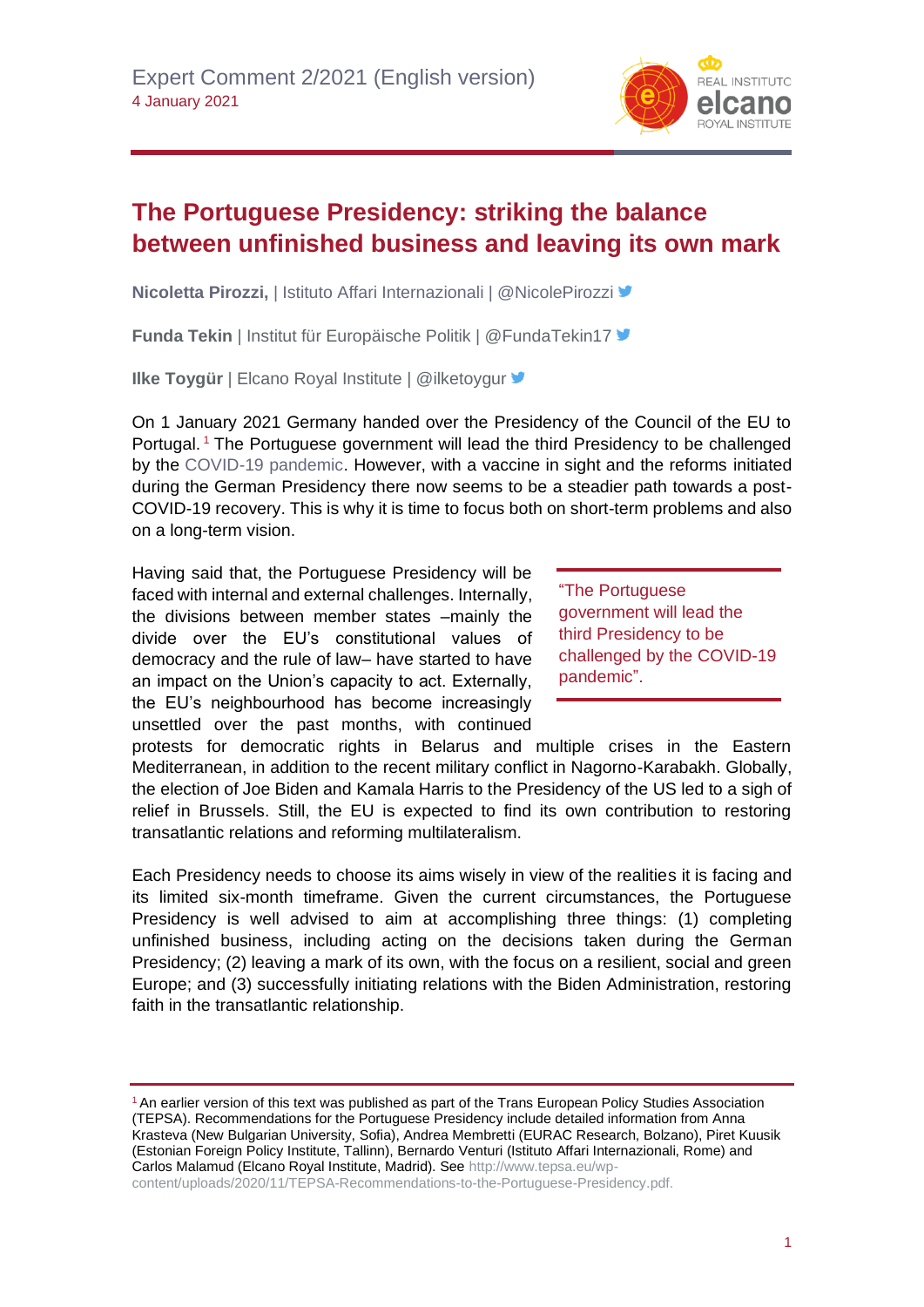

## **The Portuguese Presidency: striking the balance between unfinished business and leaving its own mark**

**Nicoletta Pirozzi,** | Istituto Affari Internazionali | @NicolePirozzi

**Funda Tekin** | Institut für Europäische Politik | @FundaTekin17

**Ilke Toygür** | Elcano Royal Institute | @ilketoygur

On 1 January 2021 Germany handed over the Presidency of the Council of the EU to Portugal.<sup>1</sup> The Portuguese government will lead the third Presidency to be challenged by the [COVID-19 pandemic.](https://especiales.realinstitutoelcano.org/coronavirus/?lang=en) However, with a vaccine in sight and the reforms initiated during the German Presidency there now seems to be a steadier path towards a post-COVID-19 recovery. This is why it is time to focus both on short-term problems and also on a long-term vision.

Having said that, the Portuguese Presidency will be faced with internal and external challenges. Internally, the divisions between member states –mainly the divide over the EU's constitutional values of democracy and the rule of law– have started to have an impact on the Union's capacity to act. Externally, the EU's neighbourhood has become increasingly unsettled over the past months, with continued

"The Portuguese government will lead the third Presidency to be challenged by the COVID-19 pandemic".

protests for democratic rights in Belarus and multiple crises in the Eastern Mediterranean, in addition to the recent military conflict in Nagorno-Karabakh. Globally, the election of Joe Biden and Kamala Harris to the Presidency of the US led to a sigh of relief in Brussels. Still, the EU is expected to find its own contribution to restoring transatlantic relations and reforming multilateralism.

Each Presidency needs to choose its aims wisely in view of the realities it is facing and its limited six-month timeframe. Given the current circumstances, the Portuguese Presidency is well advised to aim at accomplishing three things: (1) completing unfinished business, including acting on the decisions taken during the German Presidency; (2) leaving a mark of its own, with the focus on a resilient, social and green Europe; and (3) successfully initiating relations with the Biden Administration, restoring faith in the transatlantic relationship.

<sup>1</sup> An earlier version of this text was published as part of the Trans European Policy Studies Association (TEPSA). Recommendations for the Portuguese Presidency include detailed information from Anna Krasteva (New Bulgarian University, Sofia), Andrea Membretti (EURAC Research, Bolzano), Piret Kuusik (Estonian Foreign Policy Institute, Tallinn), Bernardo Venturi (Istituto Affari Internazionali, Rome) and Carlos Malamud (Elcano Royal Institute, Madrid). See [http://www.tepsa.eu/wp-](http://www.tepsa.eu/wp-content/uploads/2020/11/TEPSA-Recommendations-to-the-Portuguese-Presidency.pdf)

[content/uploads/2020/11/TEPSA-Recommendations-to-the-Portuguese-Presidency.pdf.](http://www.tepsa.eu/wp-content/uploads/2020/11/TEPSA-Recommendations-to-the-Portuguese-Presidency.pdf)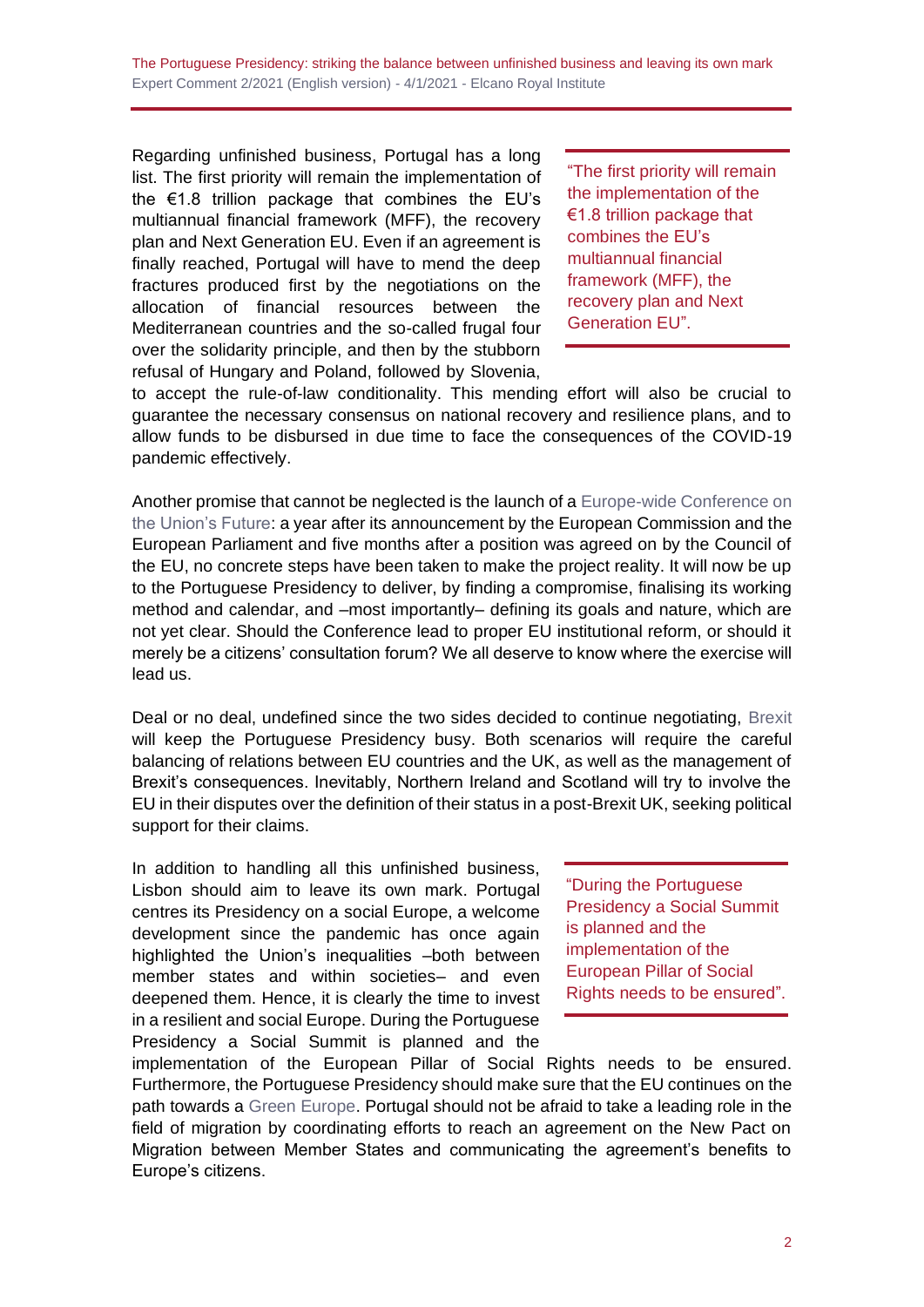Regarding unfinished business, Portugal has a long list. The first priority will remain the implementation of the €1.8 trillion package that combines the EU's multiannual financial framework (MFF), the recovery plan and Next Generation EU. Even if an agreement is finally reached, Portugal will have to mend the deep fractures produced first by the negotiations on the allocation of financial resources between the Mediterranean countries and the so-called frugal four over the solidarity principle, and then by the stubborn refusal of Hungary and Poland, followed by Slovenia,

"The first priority will remain the implementation of the €1.8 trillion package that combines the EU's multiannual financial framework (MFF), the recovery plan and Next Generation EU".

to accept the rule-of-law conditionality. This mending effort will also be crucial to guarantee the necessary consensus on national recovery and resilience plans, and to allow funds to be disbursed in due time to face the consequences of the COVID-19 pandemic effectively.

Another promise that cannot be neglected is the launch of a [Europe-wide Conference on](http://www.realinstitutoelcano.org/wps/portal/rielcano_en/research-topics/europe)  [the Union's Future:](http://www.realinstitutoelcano.org/wps/portal/rielcano_en/research-topics/europe) a year after its announcement by the European Commission and the European Parliament and five months after a position was agreed on by the Council of the EU, no concrete steps have been taken to make the project reality. It will now be up to the Portuguese Presidency to deliver, by finding a compromise, finalising its working method and calendar, and –most importantly– defining its goals and nature, which are not yet clear. Should the Conference lead to proper EU institutional reform, or should it merely be a citizens' consultation forum? We all deserve to know where the exercise will lead us.

Deal or no deal, undefined since the two sides decided to continue negotiating, [Brexit](https://especiales.realinstitutoelcano.org/brexit/) will keep the Portuguese Presidency busy. Both scenarios will require the careful balancing of relations between EU countries and the UK, as well as the management of Brexit's consequences. Inevitably, Northern Ireland and Scotland will try to involve the EU in their disputes over the definition of their status in a post-Brexit UK, seeking political support for their claims.

In addition to handling all this unfinished business, Lisbon should aim to leave its own mark. Portugal centres its Presidency on a social Europe, a welcome development since the pandemic has once again highlighted the Union's inequalities –both between member states and within societies– and even deepened them. Hence, it is clearly the time to invest in a resilient and social Europe. During the Portuguese Presidency a Social Summit is planned and the

"During the Portuguese Presidency a Social Summit is planned and the implementation of the European Pillar of Social Rights needs to be ensured".

implementation of the European Pillar of Social Rights needs to be ensured. Furthermore, the Portuguese Presidency should make sure that the EU continues on the path towards a [Green Europe.](https://blog.realinstitutoelcano.org/en/does-the-eu-really-promote-the-good-governance-of-energy-resources/) Portugal should not be afraid to take a leading role in the field of migration by coordinating efforts to reach an agreement on the New Pact on Migration between Member States and communicating the agreement's benefits to Europe's citizens.